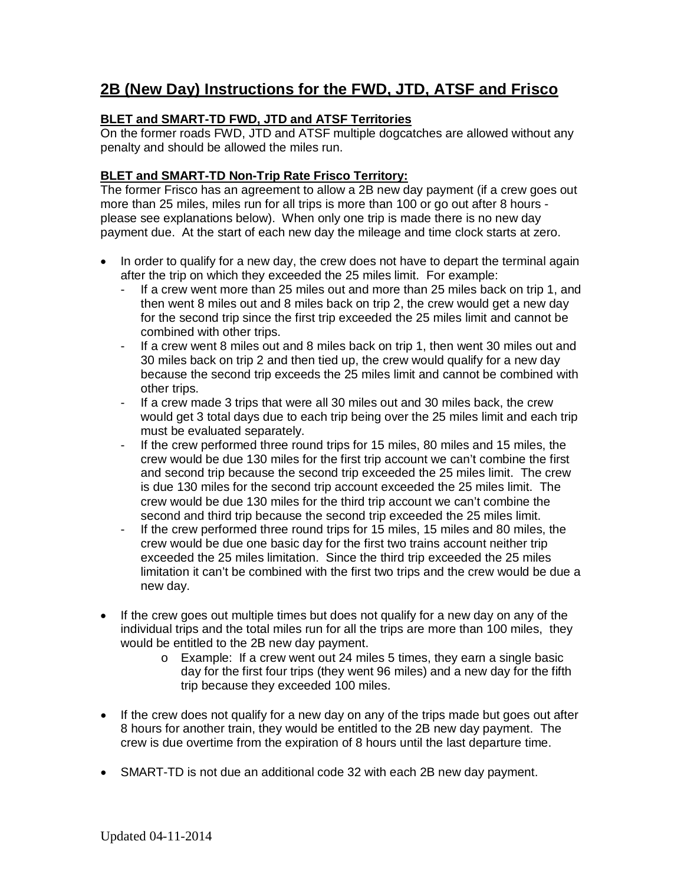# **2B (New Day) Instructions for the FWD, JTD, ATSF and Frisco**

## **BLET and SMART-TD FWD, JTD and ATSF Territories**

On the former roads FWD, JTD and ATSF multiple dogcatches are allowed without any penalty and should be allowed the miles run.

### **BLET and SMART-TD Non-Trip Rate Frisco Territory:**

The former Frisco has an agreement to allow a 2B new day payment (if a crew goes out more than 25 miles, miles run for all trips is more than 100 or go out after 8 hours please see explanations below). When only one trip is made there is no new day payment due. At the start of each new day the mileage and time clock starts at zero.

- In order to qualify for a new day, the crew does not have to depart the terminal again after the trip on which they exceeded the 25 miles limit. For example:
	- If a crew went more than 25 miles out and more than 25 miles back on trip 1, and then went 8 miles out and 8 miles back on trip 2, the crew would get a new day for the second trip since the first trip exceeded the 25 miles limit and cannot be combined with other trips.
	- If a crew went 8 miles out and 8 miles back on trip 1, then went 30 miles out and 30 miles back on trip 2 and then tied up, the crew would qualify for a new day because the second trip exceeds the 25 miles limit and cannot be combined with other trips.
	- If a crew made 3 trips that were all 30 miles out and 30 miles back, the crew would get 3 total days due to each trip being over the 25 miles limit and each trip must be evaluated separately.
	- If the crew performed three round trips for 15 miles, 80 miles and 15 miles, the crew would be due 130 miles for the first trip account we can't combine the first and second trip because the second trip exceeded the 25 miles limit. The crew is due 130 miles for the second trip account exceeded the 25 miles limit. The crew would be due 130 miles for the third trip account we can't combine the second and third trip because the second trip exceeded the 25 miles limit.
	- If the crew performed three round trips for 15 miles, 15 miles and 80 miles, the crew would be due one basic day for the first two trains account neither trip exceeded the 25 miles limitation. Since the third trip exceeded the 25 miles limitation it can't be combined with the first two trips and the crew would be due a new day.
- If the crew goes out multiple times but does not qualify for a new day on any of the individual trips and the total miles run for all the trips are more than 100 miles, they would be entitled to the 2B new day payment.
	- o Example: If a crew went out 24 miles 5 times, they earn a single basic day for the first four trips (they went 96 miles) and a new day for the fifth trip because they exceeded 100 miles.
- If the crew does not qualify for a new day on any of the trips made but goes out after 8 hours for another train, they would be entitled to the 2B new day payment. The crew is due overtime from the expiration of 8 hours until the last departure time.
- SMART-TD is not due an additional code 32 with each 2B new day payment.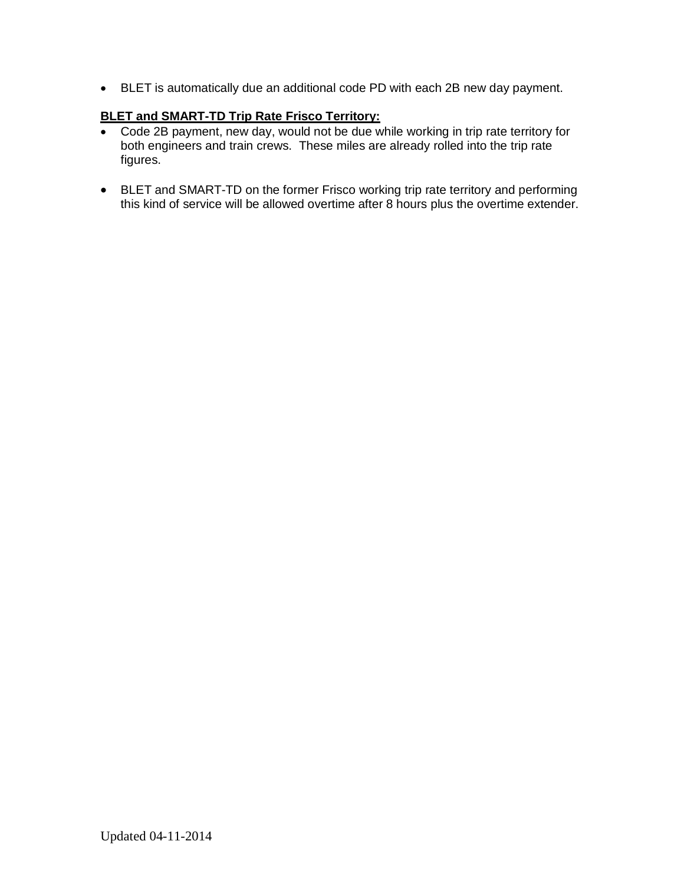• BLET is automatically due an additional code PD with each 2B new day payment.

### **BLET and SMART-TD Trip Rate Frisco Territory:**

- Code 2B payment, new day, would not be due while working in trip rate territory for both engineers and train crews. These miles are already rolled into the trip rate figures.
- BLET and SMART-TD on the former Frisco working trip rate territory and performing this kind of service will be allowed overtime after 8 hours plus the overtime extender.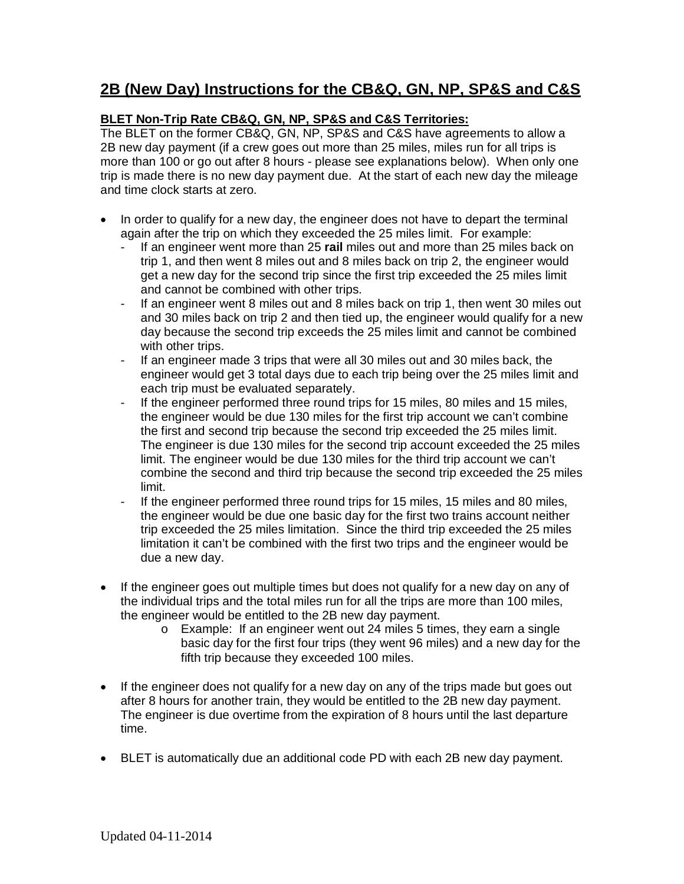## **2B (New Day) Instructions for the CB&Q, GN, NP, SP&S and C&S**

## **BLET Non-Trip Rate CB&Q, GN, NP, SP&S and C&S Territories:**

The BLET on the former CB&Q, GN, NP, SP&S and C&S have agreements to allow a 2B new day payment (if a crew goes out more than 25 miles, miles run for all trips is more than 100 or go out after 8 hours - please see explanations below). When only one trip is made there is no new day payment due. At the start of each new day the mileage and time clock starts at zero.

- In order to qualify for a new day, the engineer does not have to depart the terminal again after the trip on which they exceeded the 25 miles limit. For example:
	- If an engineer went more than 25 **rail** miles out and more than 25 miles back on trip 1, and then went 8 miles out and 8 miles back on trip 2, the engineer would get a new day for the second trip since the first trip exceeded the 25 miles limit and cannot be combined with other trips.
	- If an engineer went 8 miles out and 8 miles back on trip 1, then went 30 miles out and 30 miles back on trip 2 and then tied up, the engineer would qualify for a new day because the second trip exceeds the 25 miles limit and cannot be combined with other trips.
	- If an engineer made 3 trips that were all 30 miles out and 30 miles back, the engineer would get 3 total days due to each trip being over the 25 miles limit and each trip must be evaluated separately.
	- If the engineer performed three round trips for 15 miles, 80 miles and 15 miles, the engineer would be due 130 miles for the first trip account we can't combine the first and second trip because the second trip exceeded the 25 miles limit. The engineer is due 130 miles for the second trip account exceeded the 25 miles limit. The engineer would be due 130 miles for the third trip account we can't combine the second and third trip because the second trip exceeded the 25 miles limit.
	- If the engineer performed three round trips for 15 miles, 15 miles and 80 miles, the engineer would be due one basic day for the first two trains account neither trip exceeded the 25 miles limitation. Since the third trip exceeded the 25 miles limitation it can't be combined with the first two trips and the engineer would be due a new day.
- If the engineer goes out multiple times but does not qualify for a new day on any of the individual trips and the total miles run for all the trips are more than 100 miles, the engineer would be entitled to the 2B new day payment.
	- o Example: If an engineer went out 24 miles 5 times, they earn a single basic day for the first four trips (they went 96 miles) and a new day for the fifth trip because they exceeded 100 miles.
- If the engineer does not qualify for a new day on any of the trips made but goes out after 8 hours for another train, they would be entitled to the 2B new day payment. The engineer is due overtime from the expiration of 8 hours until the last departure time.
- BLET is automatically due an additional code PD with each 2B new day payment.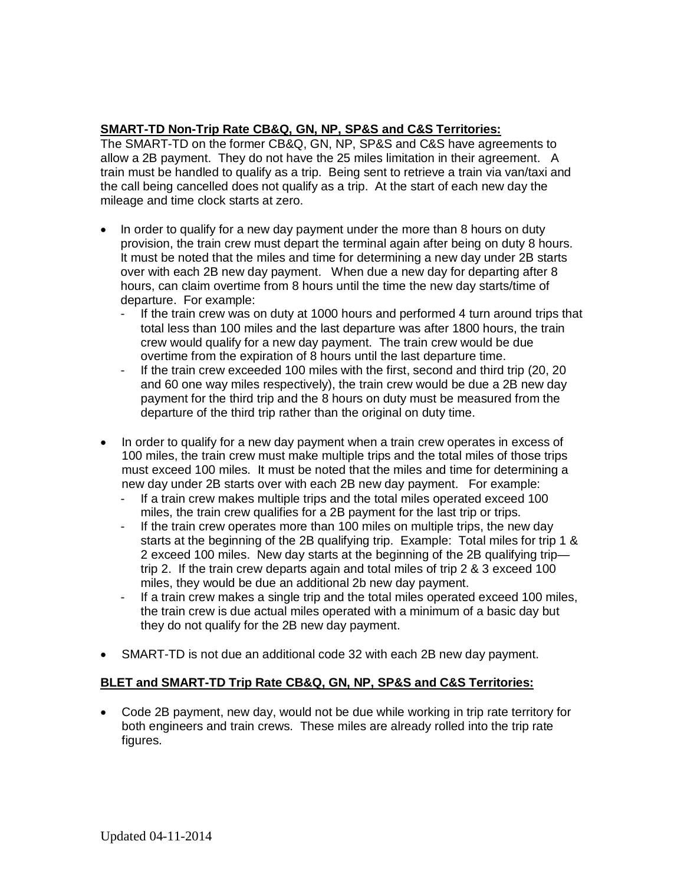### **SMART-TD Non-Trip Rate CB&Q, GN, NP, SP&S and C&S Territories:**

The SMART-TD on the former CB&Q, GN, NP, SP&S and C&S have agreements to allow a 2B payment. They do not have the 25 miles limitation in their agreement. A train must be handled to qualify as a trip. Being sent to retrieve a train via van/taxi and the call being cancelled does not qualify as a trip. At the start of each new day the mileage and time clock starts at zero.

- In order to qualify for a new day payment under the more than 8 hours on duty provision, the train crew must depart the terminal again after being on duty 8 hours. It must be noted that the miles and time for determining a new day under 2B starts over with each 2B new day payment. When due a new day for departing after 8 hours, can claim overtime from 8 hours until the time the new day starts/time of departure. For example:
	- If the train crew was on duty at 1000 hours and performed 4 turn around trips that total less than 100 miles and the last departure was after 1800 hours, the train crew would qualify for a new day payment. The train crew would be due overtime from the expiration of 8 hours until the last departure time.
	- If the train crew exceeded 100 miles with the first, second and third trip (20, 20 and 60 one way miles respectively), the train crew would be due a 2B new day payment for the third trip and the 8 hours on duty must be measured from the departure of the third trip rather than the original on duty time.
- In order to qualify for a new day payment when a train crew operates in excess of 100 miles, the train crew must make multiple trips and the total miles of those trips must exceed 100 miles. It must be noted that the miles and time for determining a new day under 2B starts over with each 2B new day payment. For example:
	- If a train crew makes multiple trips and the total miles operated exceed 100 miles, the train crew qualifies for a 2B payment for the last trip or trips.
	- If the train crew operates more than 100 miles on multiple trips, the new day starts at the beginning of the 2B qualifying trip. Example: Total miles for trip 1 & 2 exceed 100 miles. New day starts at the beginning of the 2B qualifying trip trip 2. If the train crew departs again and total miles of trip 2 & 3 exceed 100 miles, they would be due an additional 2b new day payment.
	- If a train crew makes a single trip and the total miles operated exceed 100 miles, the train crew is due actual miles operated with a minimum of a basic day but they do not qualify for the 2B new day payment.
- SMART-TD is not due an additional code 32 with each 2B new day payment.

#### **BLET and SMART-TD Trip Rate CB&Q, GN, NP, SP&S and C&S Territories:**

• Code 2B payment, new day, would not be due while working in trip rate territory for both engineers and train crews. These miles are already rolled into the trip rate figures.